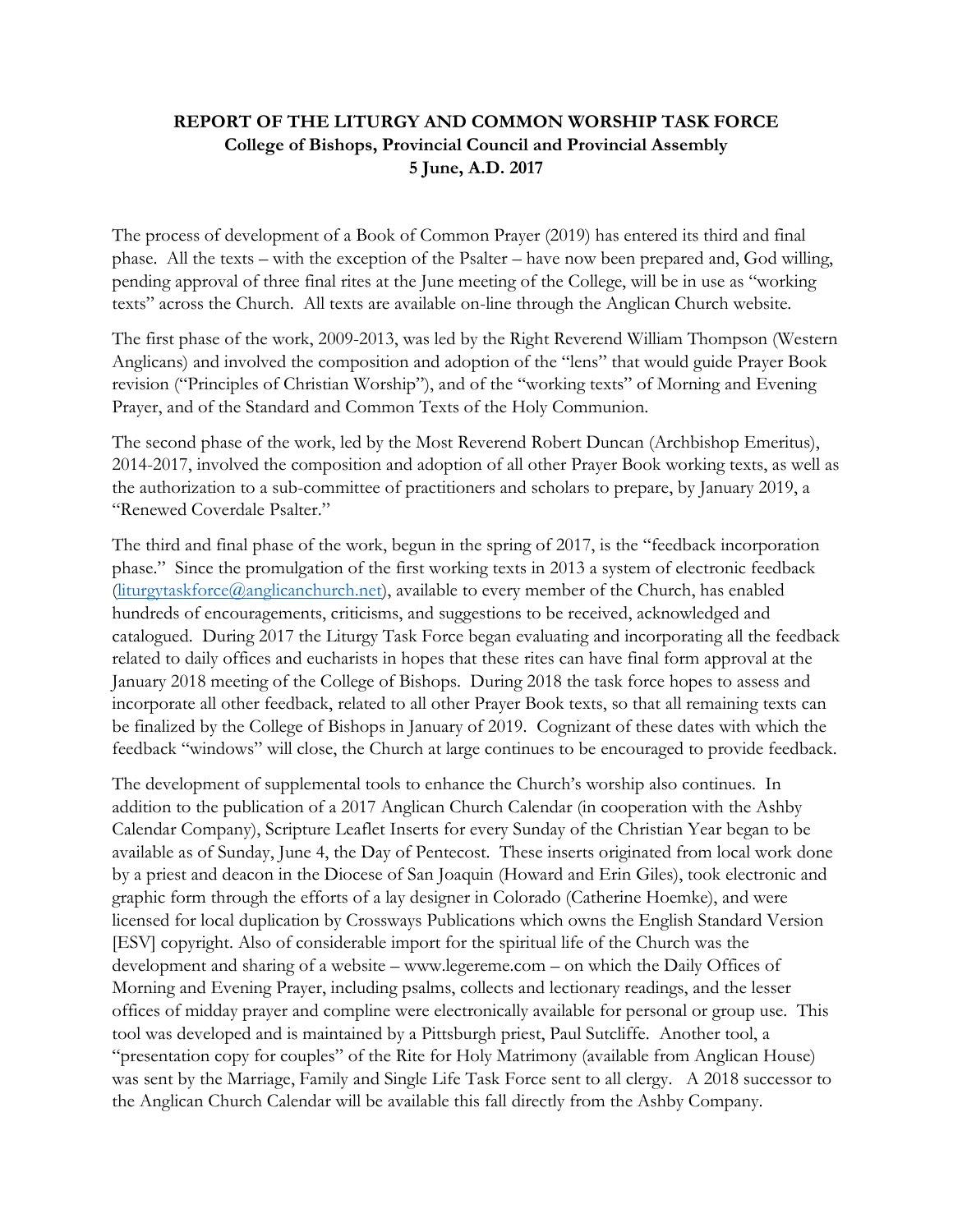## **REPORT OF THE LITURGY AND COMMON WORSHIP TASK FORCE College of Bishops, Provincial Council and Provincial Assembly 5 June, A.D. 2017**

The process of development of a Book of Common Prayer (2019) has entered its third and final phase. All the texts – with the exception of the Psalter – have now been prepared and, God willing, pending approval of three final rites at the June meeting of the College, will be in use as "working texts" across the Church. All texts are available on-line through the Anglican Church website.

The first phase of the work, 2009-2013, was led by the Right Reverend William Thompson (Western Anglicans) and involved the composition and adoption of the "lens" that would guide Prayer Book revision ("Principles of Christian Worship"), and of the "working texts" of Morning and Evening Prayer, and of the Standard and Common Texts of the Holy Communion.

The second phase of the work, led by the Most Reverend Robert Duncan (Archbishop Emeritus), 2014-2017, involved the composition and adoption of all other Prayer Book working texts, as well as the authorization to a sub-committee of practitioners and scholars to prepare, by January 2019, a "Renewed Coverdale Psalter."

The third and final phase of the work, begun in the spring of 2017, is the "feedback incorporation phase." Since the promulgation of the first working texts in 2013 a system of electronic feedback [\(liturgytaskforce@anglicanchurch.net\)](mailto:liturgytaskforce@anglicanchurch.net), available to every member of the Church, has enabled hundreds of encouragements, criticisms, and suggestions to be received, acknowledged and catalogued. During 2017 the Liturgy Task Force began evaluating and incorporating all the feedback related to daily offices and eucharists in hopes that these rites can have final form approval at the January 2018 meeting of the College of Bishops. During 2018 the task force hopes to assess and incorporate all other feedback, related to all other Prayer Book texts, so that all remaining texts can be finalized by the College of Bishops in January of 2019. Cognizant of these dates with which the feedback "windows" will close, the Church at large continues to be encouraged to provide feedback.

The development of supplemental tools to enhance the Church's worship also continues. In addition to the publication of a 2017 Anglican Church Calendar (in cooperation with the Ashby Calendar Company), Scripture Leaflet Inserts for every Sunday of the Christian Year began to be available as of Sunday, June 4, the Day of Pentecost. These inserts originated from local work done by a priest and deacon in the Diocese of San Joaquin (Howard and Erin Giles), took electronic and graphic form through the efforts of a lay designer in Colorado (Catherine Hoemke), and were licensed for local duplication by Crossways Publications which owns the English Standard Version [ESV] copyright. Also of considerable import for the spiritual life of the Church was the development and sharing of a website – www.legereme.com – on which the Daily Offices of Morning and Evening Prayer, including psalms, collects and lectionary readings, and the lesser offices of midday prayer and compline were electronically available for personal or group use. This tool was developed and is maintained by a Pittsburgh priest, Paul Sutcliffe. Another tool, a "presentation copy for couples" of the Rite for Holy Matrimony (available from Anglican House) was sent by the Marriage, Family and Single Life Task Force sent to all clergy. A 2018 successor to the Anglican Church Calendar will be available this fall directly from the Ashby Company.